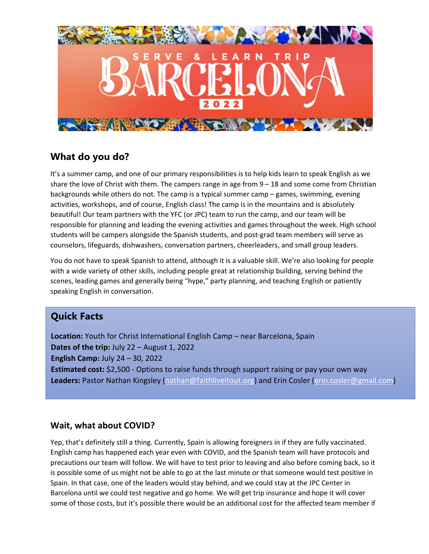

## **What do you do?**

It's a summer camp, and one of our primary responsibilities is to help kids learn to speak English as we share the love of Christ with them. The campers range in age from 9 – 18 and some come from Christian backgrounds while others do not. The camp is a typical summer camp – games, swimming, evening activities, workshops, and of course, English class! The camp is in the mountains and is absolutely beautiful! Our team partners with the YFC (or JPC) team to run the camp, and our team will be responsible for planning and leading the evening activities and games throughout the week. High school students will be campers alongside the Spanish students, and post-grad team members will serve as counselors, lifeguards, dishwashers, conversation partners, cheerleaders, and small group leaders.

You do not have to speak Spanish to attend, although it is a valuable skill. We're also looking for people with a wide variety of other skills, including people great at relationship building, serving behind the scenes, leading games and generally being "hype," party planning, and teaching English or patiently speaking English in conversation.

## **Quick Facts**

**Location:** Youth for Christ International English Camp – near Barcelona, Spain **Dates of the trip:** July 22 – August 1, 2022 **English Camp:** July 24 – 30, 2022 **Estimated cost:** \$2,500 - Options to raise funds through support raising or pay your own way **Leaders:** Pastor Nathan Kingsley (nathan@faithliveitout.org) and Erin Cosler (erin.cosler@gmail.com)

## **Wait, what about COVID?**

Yep, that's definitely still a thing. Currently, Spain is allowing foreigners in if they are fully vaccinated. English camp has happened each year even with COVID, and the Spanish team will have protocols and precautions our team will follow. We will have to test prior to leaving and also before coming back, so it is possible some of us might not be able to go at the last minute or that someone would test positive in Spain. In that case, one of the leaders would stay behind, and we could stay at the JPC Center in Barcelona until we could test negative and go home. We will get trip insurance and hope it will cover some of those costs, but it's possible there would be an additional cost for the affected team member if